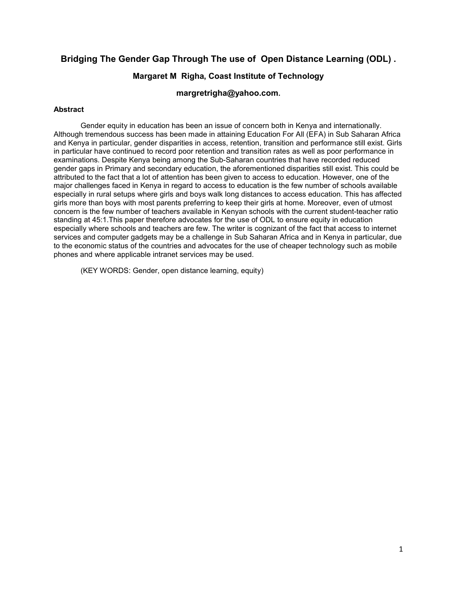# **Bridging The Gender Gap Through The use of Open Distance Learning (ODL) .**

# **Margaret M Righa, Coast Institute of Technology**

# **margretrigha@yahoo.com.**

#### **Abstract**

Gender equity in education has been an issue of concern both in Kenya and internationally. Although tremendous success has been made in attaining Education For All (EFA) in Sub Saharan Africa and Kenya in particular, gender disparities in access, retention, transition and performance still exist. Girls in particular have continued to record poor retention and transition rates as well as poor performance in examinations. Despite Kenya being among the Sub-Saharan countries that have recorded reduced gender gaps in Primary and secondary education, the aforementioned disparities still exist. This could be attributed to the fact that a lot of attention has been given to access to education. However, one of the major challenges faced in Kenya in regard to access to education is the few number of schools available especially in rural setups where girls and boys walk long distances to access education. This has affected girls more than boys with most parents preferring to keep their girls at home. Moreover, even of utmost concern is the few number of teachers available in Kenyan schools with the current student-teacher ratio standing at 45:1.This paper therefore advocates for the use of ODL to ensure equity in education especially where schools and teachers are few. The writer is cognizant of the fact that access to internet services and computer gadgets may be a challenge in Sub Saharan Africa and in Kenya in particular, due to the economic status of the countries and advocates for the use of cheaper technology such as mobile phones and where applicable intranet services may be used.

(KEY WORDS: Gender, open distance learning, equity)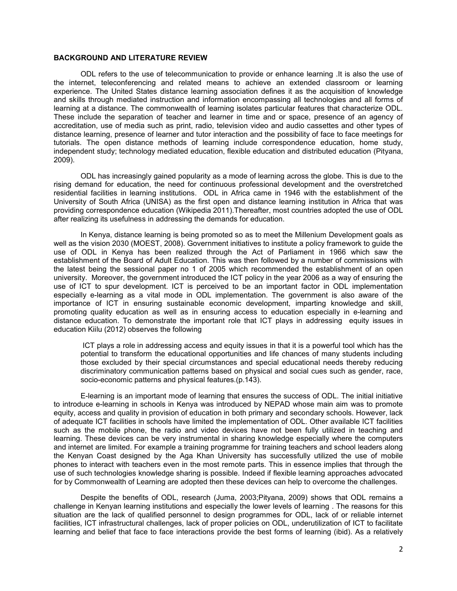# **BACKGROUND AND LITERATURE REVIEW**

ODL refers to the use of telecommunication to provide or enhance learning .It is also the use of the internet, teleconferencing and related means to achieve an extended classroom or learning experience. The United States distance learning association defines it as the acquisition of knowledge and skills through mediated instruction and information encompassing all technologies and all forms of learning at a distance. The commonwealth of learning isolates particular features that characterize ODL. These include the separation of teacher and learner in time and or space, presence of an agency of accreditation, use of media such as print, radio, television video and audio cassettes and other types of distance learning, presence of learner and tutor interaction and the possibility of face to face meetings for tutorials. The open distance methods of learning include correspondence education, home study, independent study; technology mediated education, flexible education and distributed education (Pityana, 2009).

ODL has increasingly gained popularity as a mode of learning across the globe. This is due to the rising demand for education, the need for continuous professional development and the overstretched residential facilities in learning institutions. ODL in Africa came in 1946 with the establishment of the University of South Africa (UNISA) as the first open and distance learning institution in Africa that was providing correspondence education (Wikipedia 2011).Thereafter, most countries adopted the use of ODL after realizing its usefulness in addressing the demands for education.

In Kenya, distance learning is being promoted so as to meet the Millenium Development goals as well as the vision 2030 (MOEST, 2008). Government initiatives to institute a policy framework to guide the use of ODL in Kenya has been realized through the Act of Parliament in 1966 which saw the establishment of the Board of Adult Education. This was then followed by a number of commissions with the latest being the sessional paper no 1 of 2005 which recommended the establishment of an open university. Moreover, the government introduced the ICT policy in the year 2006 as a way of ensuring the use of ICT to spur development. ICT is perceived to be an important factor in ODL implementation especially e-learning as a vital mode in ODL implementation. The government is also aware of the importance of ICT in ensuring sustainable economic development, imparting knowledge and skill, promoting quality education as well as in ensuring access to education especially in e-learning and distance education. To demonstrate the important role that ICT plays in addressing equity issues in education Kiilu (2012) observes the following

ICT plays a role in addressing access and equity issues in that it is a powerful tool which has the potential to transform the educational opportunities and life chances of many students including those excluded by their special circumstances and special educational needs thereby reducing discriminatory communication patterns based on physical and social cues such as gender, race, socio-economic patterns and physical features.(p.143).

E-learning is an important mode of learning that ensures the success of ODL. The initial initiative to introduce e-learning in schools in Kenya was introduced by NEPAD whose main aim was to promote equity, access and quality in provision of education in both primary and secondary schools. However, lack of adequate ICT facilities in schools have limited the implementation of ODL. Other available ICT facilities such as the mobile phone, the radio and video devices have not been fully utilized in teaching and learning. These devices can be very instrumental in sharing knowledge especially where the computers and internet are limited. For example a training programme for training teachers and school leaders along the Kenyan Coast designed by the Aga Khan University has successfully utilized the use of mobile phones to interact with teachers even in the most remote parts. This in essence implies that through the use of such technologies knowledge sharing is possible. Indeed if flexible learning approaches advocated for by Commonwealth of Learning are adopted then these devices can help to overcome the challenges.

Despite the benefits of ODL, research (Juma, 2003;Pityana, 2009) shows that ODL remains a challenge in Kenyan learning institutions and especially the lower levels of learning . The reasons for this situation are the lack of qualified personnel to design programmes for ODL, lack of or reliable internet facilities, ICT infrastructural challenges, lack of proper policies on ODL, underutilization of ICT to facilitate learning and belief that face to face interactions provide the best forms of learning (ibid). As a relatively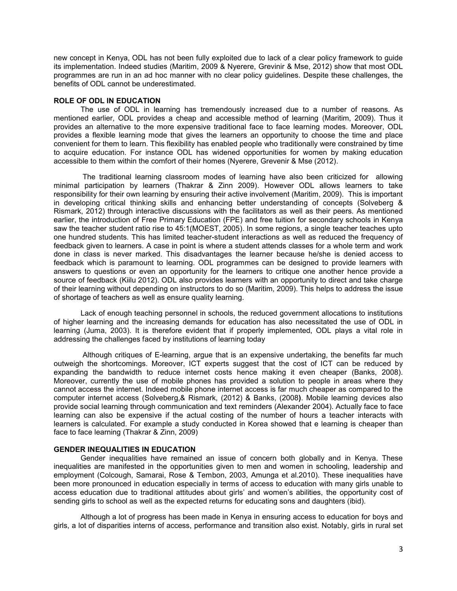new concept in Kenya, ODL has not been fully exploited due to lack of a clear policy framework to guide its implementation. Indeed studies (Maritim, 2009 & Nyerere, Grevinir & Mse, 2012) show that most ODL programmes are run in an ad hoc manner with no clear policy guidelines. Despite these challenges, the benefits of ODL cannot be underestimated.

#### **ROLE OF ODL IN EDUCATION**

The use of ODL in learning has tremendously increased due to a number of reasons. As mentioned earlier, ODL provides a cheap and accessible method of learning (Maritim, 2009). Thus it provides an alternative to the more expensive traditional face to face learning modes. Moreover, ODL provides a flexible learning mode that gives the learners an opportunity to choose the time and place convenient for them to learn. This flexibility has enabled people who traditionally were constrained by time to acquire education. For instance ODL has widened opportunities for women by making education accessible to them within the comfort of their homes (Nyerere, Grevenir & Mse (2012).

The traditional learning classroom modes of learning have also been criticized for allowing minimal participation by learners (Thakrar & Zinn 2009). However ODL allows learners to take responsibility for their own learning by ensuring their active involvement (Maritim, 2009). This is important in developing critical thinking skills and enhancing better understanding of concepts (Solveberg & Rismark, 2012) through interactive discussions with the facilitators as well as their peers. As mentioned earlier, the introduction of Free Primary Education (FPE) and free tuition for secondary schools in Kenya saw the teacher student ratio rise to 45:1(MOEST, 2005). In some regions, a single teacher teaches upto one hundred students. This has limited teacher-student interactions as well as reduced the frequency of feedback given to learners. A case in point is where a student attends classes for a whole term and work done in class is never marked. This disadvantages the learner because he/she is denied access to feedback which is paramount to learning. ODL programmes can be designed to provide learners with answers to questions or even an opportunity for the learners to critique one another hence provide a source of feedback (Kiilu 2012). ODL also provides learners with an opportunity to direct and take charge of their learning without depending on instructors to do so (Maritim, 2009). This helps to address the issue of shortage of teachers as well as ensure quality learning.

Lack of enough teaching personnel in schools, the reduced government allocations to institutions of higher learning and the increasing demands for education has also necessitated the use of ODL in learning (Juma, 2003). It is therefore evident that if properly implemented, ODL plays a vital role in addressing the challenges faced by institutions of learning today

Although critiques of E-learning, argue that is an expensive undertaking, the benefits far much outweigh the shortcomings. Moreover, ICT experts suggest that the cost of ICT can be reduced by expanding the bandwidth to reduce internet costs hence making it even cheaper (Banks, 2008). Moreover, currently the use of mobile phones has provided a solution to people in areas where they cannot access the internet. Indeed mobile phone internet access is far much cheaper as compared to the computer internet access (Solveberg,& Rismark, (2012) & Banks, (2008**)**. Mobile learning devices also provide social learning through communication and text reminders (Alexander 2004). Actually face to face learning can also be expensive if the actual costing of the number of hours a teacher interacts with learners is calculated. For example a study conducted in Korea showed that e learning is cheaper than face to face learning (Thakrar & Zinn, 2009)

#### **GENDER INEQUALITIES IN EDUCATION**

Gender inequalities have remained an issue of concern both globally and in Kenya. These inequalities are manifested in the opportunities given to men and women in schooling, leadership and employment (Colcough, Samarai, Rose & Tembon, 2003, Amunga et al.2010). These inequalities have been more pronounced in education especially in terms of access to education with many girls unable to access education due to traditional attitudes about girls' and women's abilities, the opportunity cost of sending girls to school as well as the expected returns for educating sons and daughters (ibid).

Although a lot of progress has been made in Kenya in ensuring access to education for boys and girls, a lot of disparities interns of access, performance and transition also exist. Notably, girls in rural set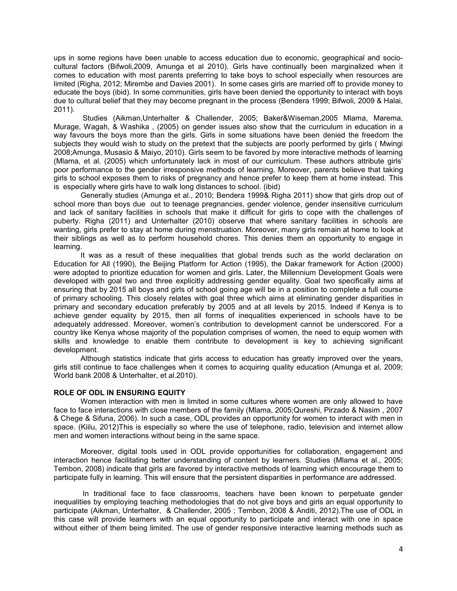ups in some regions have been unable to access education due to economic, geographical and sociocultural factors (Bifwoli,2009, Amunga et al 2010). Girls have continually been marginalized when it comes to education with most parents preferring to take boys to school especially when resources are limited (Righa, 2012; Mirembe and Davies 2001). In some cases girls are married off to provide money to educate the boys (ibid). In some communities, girls have been denied the opportunity to interact with boys due to cultural belief that they may become pregnant in the process (Bendera 1999; Bifwoli, 2009 & Halai, 2011).

Studies (Aikman,Unterhalter & Challender, 2005; Baker&Wiseman,2005 Mlama, Marema, Murage, Wagah, & Washika , (2005) on gender issues also show that the curriculum in education in a way favours the boys more than the girls. Girls in some situations have been denied the freedom the subjects they would wish to study on the pretext that the subjects are poorly performed by girls ( Mwingi 2008;Amunga, Musasio & Maiyo, 2010). Girls seem to be favored by more interactive methods of learning (Mlama, et al. (2005) which unfortunately lack in most of our curriculum. These authors attribute girls' poor performance to the gender irresponsive methods of learning. Moreover, parents believe that taking girls to school exposes them to risks of pregnancy and hence prefer to keep them at home instead. This is especially where girls have to walk long distances to school. (ibid)

Generally studies (Amunga et al., 2010; Bendera 1999& Righa 2011) show that girls drop out of school more than boys due out to teenage pregnancies, gender violence, gender insensitive curriculum and lack of sanitary facilities in schools that make it difficult for girls to cope with the challenges of puberty. Righa (2011) and Unterhalter (2010) observe that where sanitary facilities in schools are wanting, girls prefer to stay at home during menstruation. Moreover, many girls remain at home to look at their siblings as well as to perform household chores. This denies them an opportunity to engage in learning.

It was as a result of these inequalities that global trends such as the world declaration on Education for All (1990), the Beijing Platform for Action (1995), the Dakar framework for Action (2000) were adopted to prioritize education for women and girls. Later, the Millennium Development Goals were developed with goal two and three explicitly addressing gender equality. Goal two specifically aims at ensuring that by 2015 all boys and girls of school going age will be in a position to complete a full course of primary schooling. This closely relates with goal three which aims at eliminating gender disparities in primary and secondary education preferably by 2005 and at all levels by 2015. Indeed if Kenya is to achieve gender equality by 2015, then all forms of inequalities experienced in schools have to be adequately addressed. Moreover, women's contribution to development cannot be underscored. For a country like Kenya whose majority of the population comprises of women, the need to equip women with skills and knowledge to enable them contribute to development is key to achieving significant development.

Although statistics indicate that girls access to education has greatly improved over the years, girls still continue to face challenges when it comes to acquiring quality education (Amunga et al, 2009; World bank 2008 & Unterhalter, et al.2010).

#### **ROLE OF ODL IN ENSURING EQUITY**

Women interaction with men is limited in some cultures where women are only allowed to have face to face interactions with close members of the family (Mlama, 2005;Qureshi, Pirzado & Nasim , 2007 & Chege & Sifuna, 2006). In such a case, ODL provides an opportunity for women to interact with men in space. (Kiilu, 2012)This is especially so where the use of telephone, radio, television and internet allow men and women interactions without being in the same space.

Moreover, digital tools used in ODL provide opportunities for collaboration, engagement and interaction hence facilitating better understanding of content by learners. Studies (Mlama et al., 2005; Tembon, 2008) indicate that girls are favored by interactive methods of learning which encourage them to participate fully in learning. This will ensure that the persistent disparities in performance are addressed.

In traditional face to face classrooms, teachers have been known to perpetuate gender inequalities by employing teaching methodologies that do not give boys and girls an equal opportunity to participate (Aikman, Unterhalter, & Challender, 2005 ; Tembon, 2008 & Anditi, 2012).The use of ODL in this case will provide learners with an equal opportunity to participate and interact with one in space without either of them being limited. The use of gender responsive interactive learning methods such as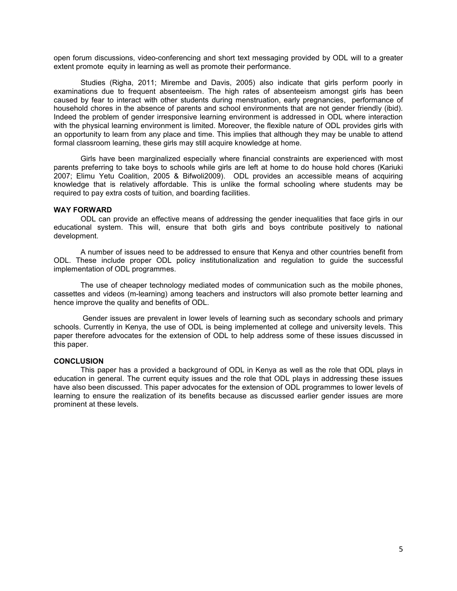open forum discussions, video-conferencing and short text messaging provided by ODL will to a greater extent promote equity in learning as well as promote their performance.

Studies (Righa, 2011; Mirembe and Davis, 2005) also indicate that girls perform poorly in examinations due to frequent absenteeism. The high rates of absenteeism amongst girls has been caused by fear to interact with other students during menstruation, early pregnancies, performance of household chores in the absence of parents and school environments that are not gender friendly (ibid). Indeed the problem of gender irresponsive learning environment is addressed in ODL where interaction with the physical learning environment is limited. Moreover, the flexible nature of ODL provides girls with an opportunity to learn from any place and time. This implies that although they may be unable to attend formal classroom learning, these girls may still acquire knowledge at home.

Girls have been marginalized especially where financial constraints are experienced with most parents preferring to take boys to schools while girls are left at home to do house hold chores (Kariuki 2007; Elimu Yetu Coalition, 2005 & Bifwoli2009). ODL provides an accessible means of acquiring knowledge that is relatively affordable. This is unlike the formal schooling where students may be required to pay extra costs of tuition, and boarding facilities.

#### **WAY FORWARD**

ODL can provide an effective means of addressing the gender inequalities that face girls in our educational system. This will, ensure that both girls and boys contribute positively to national development.

A number of issues need to be addressed to ensure that Kenya and other countries benefit from ODL. These include proper ODL policy institutionalization and regulation to guide the successful implementation of ODL programmes.

The use of cheaper technology mediated modes of communication such as the mobile phones, cassettes and videos (m-learning) among teachers and instructors will also promote better learning and hence improve the quality and benefits of ODL.

Gender issues are prevalent in lower levels of learning such as secondary schools and primary schools. Currently in Kenya, the use of ODL is being implemented at college and university levels. This paper therefore advocates for the extension of ODL to help address some of these issues discussed in this paper.

# **CONCLUSION**

This paper has a provided a background of ODL in Kenya as well as the role that ODL plays in education in general. The current equity issues and the role that ODL plays in addressing these issues have also been discussed. This paper advocates for the extension of ODL programmes to lower levels of learning to ensure the realization of its benefits because as discussed earlier gender issues are more prominent at these levels.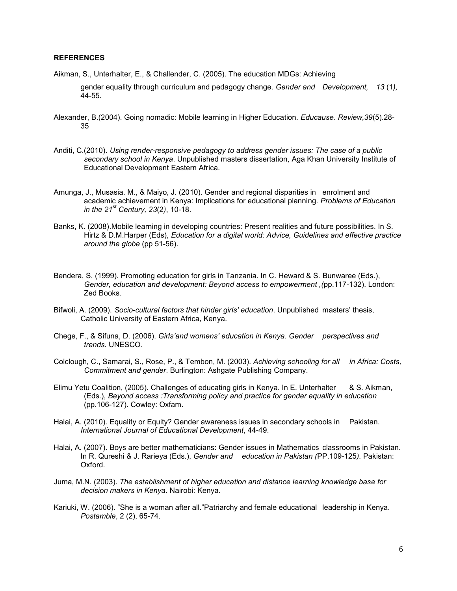#### **REFERENCES**

Aikman, S., Unterhalter, E., & Challender, C. (2005). The education MDGs: Achieving

gender equality through curriculum and pedagogy change. *Gender and Development, 13* (1*),* 44-55.

- Alexander, B.(2004). Going nomadic: Mobile learning in Higher Education. *Educause*. *Review,39*(5).28- 35
- Anditi, C.(2010). *Using render-responsive pedagogy to address gender issues: The case of a public secondary school in Kenya*. Unpublished masters dissertation, Aga Khan University Institute of Educational Development Eastern Africa.
- Amunga, J., Musasia. M., & Maiyo, J. (2010). Gender and regional disparities in enrolment and academic achievement in Kenya: Implications for educational planning. *Problems of Education in the 21st Century, 23*(2*)*, 10-18.
- Banks, K. (2008).Mobile learning in developing countries: Present realities and future possibilities. In S. Hirtz & D.M.Harper (Eds), *Education for a digital world: Advice, Guidelines and effective practice around the globe* (pp 51-56).
- Bendera, S. (1999). Promoting education for girls in Tanzania. In C. Heward & S. Bunwaree (Eds.), *Gender, education and development: Beyond access to empowerment ,(*pp.117-132). London: Zed Books.
- Bifwoli, A. (2009). *Socio-cultural factors that hinder girls' education*. Unpublished masters' thesis, Catholic University of Eastern Africa, Kenya.
- Chege, F., & Sifuna, D. (2006). *Girls'and womens' education in Kenya. Gender perspectives and trends.* UNESCO.
- Colclough, C., Samarai, S., Rose, P., & Tembon, M. (2003). *Achieving schooling for all in Africa: Costs, Commitment and gender*. Burlington: Ashgate Publishing Company.
- Elimu Yetu Coalition, (2005). Challenges of educating girls in Kenya. In E. Unterhalter & S. Aikman, (Eds.), *Beyond access :Transforming policy and practice for gender equality in education*  (pp.106-127). Cowley: Oxfam.
- Halai, A. (2010). Equality or Equity? Gender awareness issues in secondary schools in Pakistan. *International Journal of Educational Development*, 44-49.
- Halai, A. (2007). Boys are better mathematicians: Gender issues in Mathematics classrooms in Pakistan. In R. Qureshi & J. Rarieya (Eds.), *Gender and education in Pakistan (*PP.109-125*).* Pakistan: Oxford.
- Juma, M.N. (2003). *The establishment of higher education and distance learning knowledge base for decision makers in Kenya*. Nairobi: Kenya.
- Kariuki, W. (2006). "She is a woman after all."Patriarchy and female educational leadership in Kenya. *Postamble*, 2 (2), 65-74.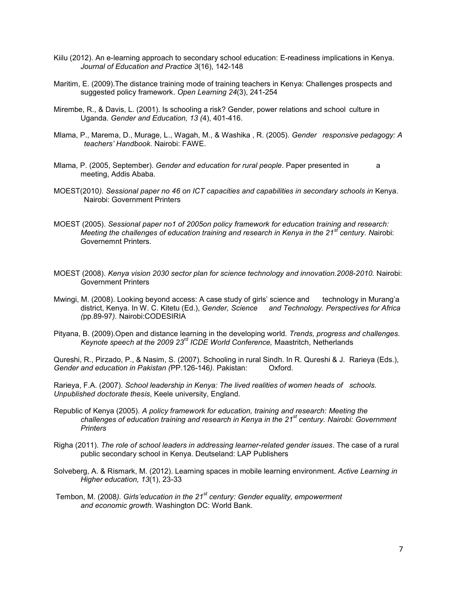- Kiilu (2012). An e-learning approach to secondary school education: E-readiness implications in Kenya. *Journal of Education and Practice 3*(16), 142-148
- Maritim, E. (2009).The distance training mode of training teachers in Kenya: Challenges prospects and suggested policy framework. *Open Learning 24*(3), 241-254
- Mirembe, R., & Davis, L. (2001). Is schooling a risk? Gender, power relations and school culture in Uganda. *Gender and Education, 13 (*4), 401-416.
- Mlama, P., Marema, D., Murage, L., Wagah, M., & Washika , R. (2005). *Gender responsive pedagogy: A teachers' Handbook.* Nairobi: FAWE.
- Mlama, P. (2005, September). *Gender and education for rural people*. Paper presented in a meeting, Addis Ababa.
- MOEST(2010*). Sessional paper no 46 on ICT capacities and capabilities in secondary schools in* Kenya. Nairobi: Government Printers
- MOEST (2005). *Sessional paper no1 of 2005on policy framework for education training and research: Meeting the challenges of education training and research in Kenya in the 21st century. N*airobi: Governemnt Printers.
- MOEST (2008). *Kenya vision 2030 sector plan for science technology and innovation.2008-2010.* Nairobi: Government Printers
- Mwingi, M. (2008). Looking beyond access: A case study of girls' science and technology in Murang'a district, Kenya. In W. C. Kitetu (Ed.), *Gender, Science and Technology. Perspectives for Africa (*pp.89-97*).* Nairobi:CODESIRIA
- Pityana, B. (2009).Open and distance learning in the developing world. *Trends, progress and challenges. Keynote speech at the 2009 23rd ICDE World Conference,* Maastritch, Netherlands

Qureshi, R., Pirzado, P., & Nasim, S. (2007). Schooling in rural Sindh. In R. Qureshi & J. Rarieya (Eds.), *Gender and education in Pakistan (*PP.126-146*).* Pakistan: Oxford.

Rarieya, F.A. (2007). *School leadership in Kenya: The lived realities of women heads of schools. Unpublished doctorate thesis*, Keele university, England.

- Republic of Kenya (2005). *A policy framework for education, training and research: Meeting the challenges of education training and research in Kenya in the 21st century. Nairobi: Government Printers*
- Righa (2011). *The role of school leaders in addressing learner-related gender issues*. The case of a rural public secondary school in Kenya. Deutseland: LAP Publishers
- Solveberg, A. & Rismark, M. (2012). Learning spaces in mobile learning environment. *Active Learning in Higher education, 13*(1), 23-33

Tembon, M. (2008*). Girls'education in the 21st century: Gender equality, empowerment and economic growth.* Washington DC: World Bank.